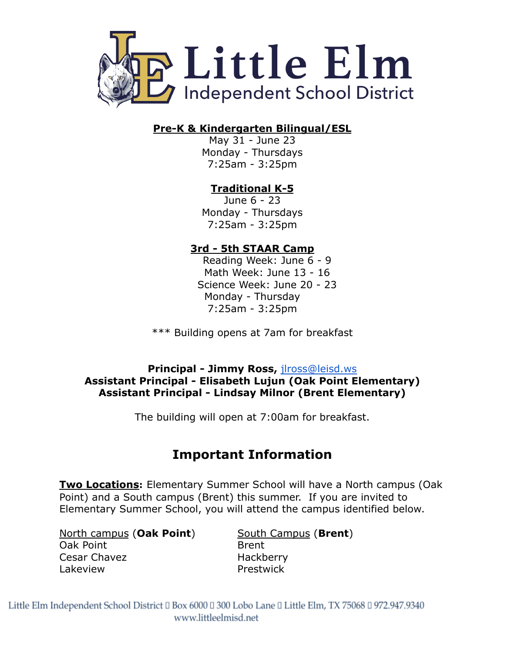

## **Pre-K & Kindergarten Bilingual/ESL**

May 31 - June 23 Monday - Thursdays 7:25am - 3:25pm

# **Traditional K-5**

June 6 - 23 Monday - Thursdays 7:25am - 3:25pm

# **3rd - 5th STAAR Camp**

Reading Week: June 6 - 9 Math Week: June 13 - 16 Science Week: June 20 - 23 Monday - Thursday 7:25am - 3:25pm

\*\*\* Building opens at 7am for breakfast

## **Principal - Jimmy Ross,** [jlross@leisd.ws](mailto:jlross@leisd.ws) **Assistant Principal - Elisabeth Lujun (Oak Point Elementary) Assistant Principal - Lindsay Milnor (Brent Elementary)**

The building will open at 7:00am for breakfast.

# **Important Information**

**Two Locations:** Elementary Summer School will have a North campus (Oak Point) and a South campus (Brent) this summer. If you are invited to Elementary Summer School, you will attend the campus identified below.

North campus (**Oak Point**) South Campus (**Brent**) Oak Point **Brent** Cesar Chavez **Hackberry** Lakeview Prestwick

Little Elm Independent School District II Box 6000 II 300 Lobo Lane II Little Elm, TX 75068 II 972.947.9340 www.littleelmisd.net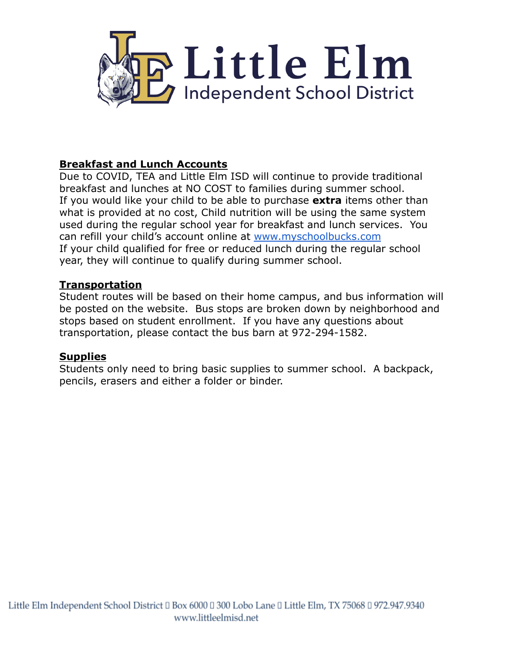

## **Breakfast and Lunch Accounts**

Due to COVID, TEA and Little Elm ISD will continue to provide traditional breakfast and lunches at NO COST to families during summer school. If you would like your child to be able to purchase **extra** items other than what is provided at no cost, Child nutrition will be using the same system used during the regular school year for breakfast and lunch services. You can refill your child's account online at [www.myschoolbucks.com](http://www.myschoolbucks.com) If your child qualified for free or reduced lunch during the regular school year, they will continue to qualify during summer school.

#### **Transportation**

Student routes will be based on their home campus, and bus information will be posted on the website. Bus stops are broken down by neighborhood and stops based on student enrollment. If you have any questions about transportation, please contact the bus barn at 972-294-1582.

#### **Supplies**

Students only need to bring basic supplies to summer school. A backpack, pencils, erasers and either a folder or binder.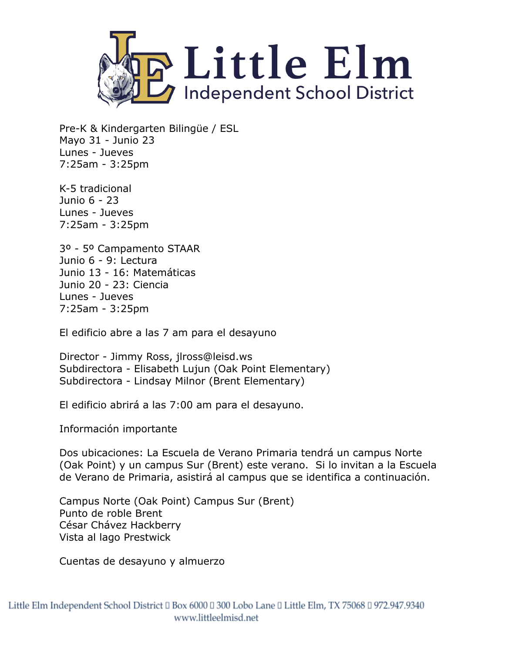

Pre-K & Kindergarten Bilingüe / ESL Mayo 31 - Junio 23 Lunes - Jueves 7:25am - 3:25pm

K-5 tradicional Junio 6 - 23 Lunes - Jueves 7:25am - 3:25pm

3º - 5º Campamento STAAR Junio 6 - 9: Lectura Junio 13 - 16: Matemáticas Junio 20 - 23: Ciencia Lunes - Jueves 7:25am - 3:25pm

El edificio abre a las 7 am para el desayuno

Director - Jimmy Ross, jlross@leisd.ws Subdirectora - Elisabeth Lujun (Oak Point Elementary) Subdirectora - Lindsay Milnor (Brent Elementary)

El edificio abrirá a las 7:00 am para el desayuno.

Información importante

Dos ubicaciones: La Escuela de Verano Primaria tendrá un campus Norte (Oak Point) y un campus Sur (Brent) este verano. Si lo invitan a la Escuela de Verano de Primaria, asistirá al campus que se identifica a continuación.

Campus Norte (Oak Point) Campus Sur (Brent) Punto de roble Brent César Chávez Hackberry Vista al lago Prestwick

Cuentas de desayuno y almuerzo